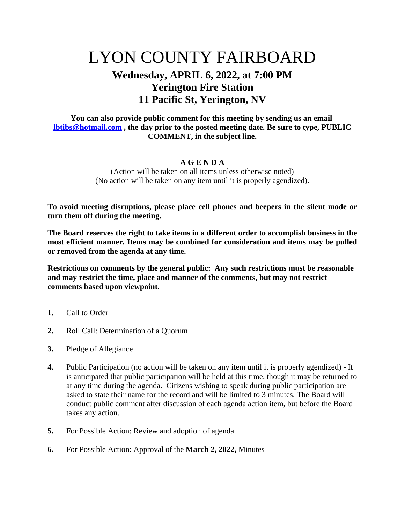## LYON COUNTY FAIRBOARD

## **Wednesday, APRIL 6, 2022, at 7:00 PM Yerington Fire Station 11 Pacific St, Yerington, NV**

## **You can also provide public comment for this meeting by sending us an email [lbtibs@hotmail.com](mailto:lbtibs@hotmail.com) , the day prior to the posted meeting date. Be sure to type, PUBLIC COMMENT, in the subject line.**

## **A G E N D A**

(Action will be taken on all items unless otherwise noted) (No action will be taken on any item until it is properly agendized).

**To avoid meeting disruptions, please place cell phones and beepers in the silent mode or turn them off during the meeting.**

**The Board reserves the right to take items in a different order to accomplish business in the most efficient manner. Items may be combined for consideration and items may be pulled or removed from the agenda at any time.**

**Restrictions on comments by the general public: Any such restrictions must be reasonable and may restrict the time, place and manner of the comments, but may not restrict comments based upon viewpoint.**

- **1.** Call to Order
- **2.** Roll Call: Determination of a Quorum
- **3.** Pledge of Allegiance
- **4.** Public Participation (no action will be taken on any item until it is properly agendized) It is anticipated that public participation will be held at this time, though it may be returned to at any time during the agenda. Citizens wishing to speak during public participation are asked to state their name for the record and will be limited to 3 minutes. The Board will conduct public comment after discussion of each agenda action item, but before the Board takes any action.
- **5.** For Possible Action: Review and adoption of agenda
- **6.** For Possible Action: Approval of the **March 2, 2022,** Minutes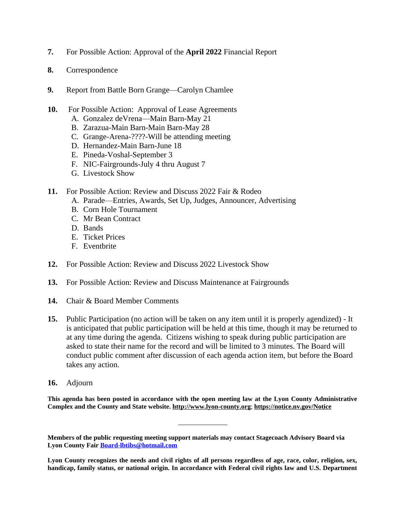- **7.** For Possible Action: Approval of the **April 2022** Financial Report
- **8.** Correspondence
- **9.** Report from Battle Born Grange—Carolyn Chamlee
- **10.** For Possible Action: Approval of Lease Agreements
	- A. Gonzalez deVrena—Main Barn-May 21
	- B. Zarazua-Main Barn-Main Barn-May 28
	- C. Grange-Arena-????-Will be attending meeting
	- D. Hernandez-Main Barn-June 18
	- E. Pineda-Voshal-September 3
	- F. NIC-Fairgrounds-July 4 thru August 7
	- G. Livestock Show
- **11.** For Possible Action: Review and Discuss 2022 Fair & Rodeo
	- A. Parade—Entries, Awards, Set Up, Judges, Announcer, Advertising
	- B. Corn Hole Tournament
	- C. Mr Bean Contract
	- D. Bands
	- E. Ticket Prices
	- F. Eventbrite
- **12.** For Possible Action: Review and Discuss 2022 Livestock Show
- **13.** For Possible Action: Review and Discuss Maintenance at Fairgrounds
- **14.** Chair & Board Member Comments
- **15.** Public Participation (no action will be taken on any item until it is properly agendized) It is anticipated that public participation will be held at this time, though it may be returned to at any time during the agenda. Citizens wishing to speak during public participation are asked to state their name for the record and will be limited to 3 minutes. The Board will conduct public comment after discussion of each agenda action item, but before the Board takes any action.
- **16.** Adjourn

**This agenda has been posted in accordance with the open meeting law at the Lyon County Administrative Complex and the County and State website. [http://www.lyon-county.org](http://www.lyon-county.org/)**; **<https://notice.nv.gov/Notice>**

**Members of the public requesting meeting support materials may contact Stagecoach Advisory Board via Lyon County Fair [Board-lbtibs@hotmail.com](mailto:Board-lbtibs@hotmail.com)**

Lyon County recognizes the needs and civil rights of all persons regardless of age, race, color, religion, sex, **handicap, family status, or national origin. In accordance with Federal civil rights law and U.S. Department**